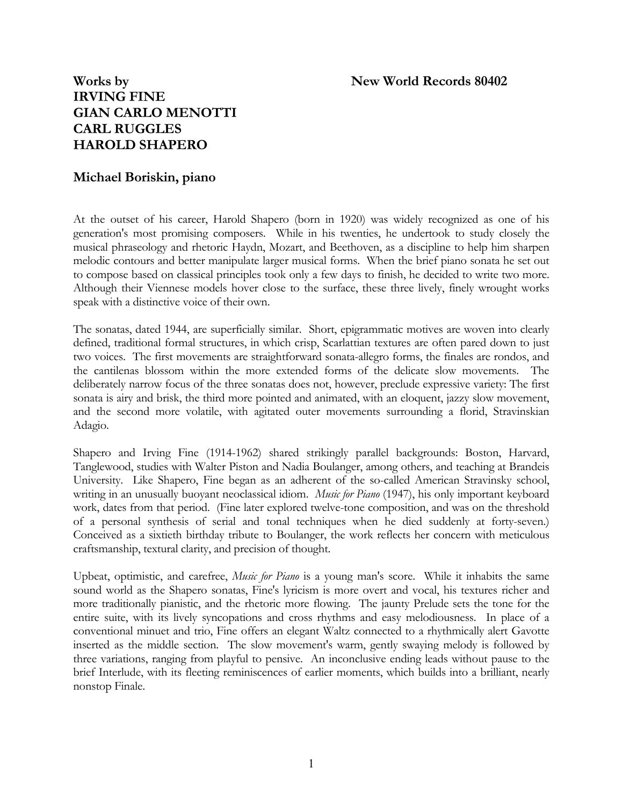# Works by **New World Records 80402 IRVING FINE GIAN CARLO MENOTTI CARL RUGGLES HAROLD SHAPERO**

## **Michael Boriskin, piano**

At the outset of his career, Harold Shapero (born in 1920) was widely recognized as one of his generation's most promising composers. While in his twenties, he undertook to study closely the musical phraseology and rhetoric Haydn, Mozart, and Beethoven, as a discipline to help him sharpen melodic contours and better manipulate larger musical forms. When the brief piano sonata he set out to compose based on classical principles took only a few days to finish, he decided to write two more. Although their Viennese models hover close to the surface, these three lively, finely wrought works speak with a distinctive voice of their own.

The sonatas, dated 1944, are superficially similar. Short, epigrammatic motives are woven into clearly defined, traditional formal structures, in which crisp, Scarlattian textures are often pared down to just two voices. The first movements are straightforward sonata-allegro forms, the finales are rondos, and the cantilenas blossom within the more extended forms of the delicate slow movements. The deliberately narrow focus of the three sonatas does not, however, preclude expressive variety: The first sonata is airy and brisk, the third more pointed and animated, with an eloquent, jazzy slow movement, and the second more volatile, with agitated outer movements surrounding a florid, Stravinskian Adagio.

Shapero and Irving Fine (1914-1962) shared strikingly parallel backgrounds: Boston, Harvard, Tanglewood, studies with Walter Piston and Nadia Boulanger, among others, and teaching at Brandeis University. Like Shapero, Fine began as an adherent of the so-called American Stravinsky school, writing in an unusually buoyant neoclassical idiom. *Music for Piano* (1947), his only important keyboard work, dates from that period. (Fine later explored twelve-tone composition, and was on the threshold of a personal synthesis of serial and tonal techniques when he died suddenly at forty-seven.) Conceived as a sixtieth birthday tribute to Boulanger, the work reflects her concern with meticulous craftsmanship, textural clarity, and precision of thought.

Upbeat, optimistic, and carefree, *Music for Piano* is a young man's score. While it inhabits the same sound world as the Shapero sonatas, Fine's lyricism is more overt and vocal, his textures richer and more traditionally pianistic, and the rhetoric more flowing. The jaunty Prelude sets the tone for the entire suite, with its lively syncopations and cross rhythms and easy melodiousness. In place of a conventional minuet and trio, Fine offers an elegant Waltz connected to a rhythmically alert Gavotte inserted as the middle section. The slow movement's warm, gently swaying melody is followed by three variations, ranging from playful to pensive. An inconclusive ending leads without pause to the brief Interlude, with its fleeting reminiscences of earlier moments, which builds into a brilliant, nearly nonstop Finale.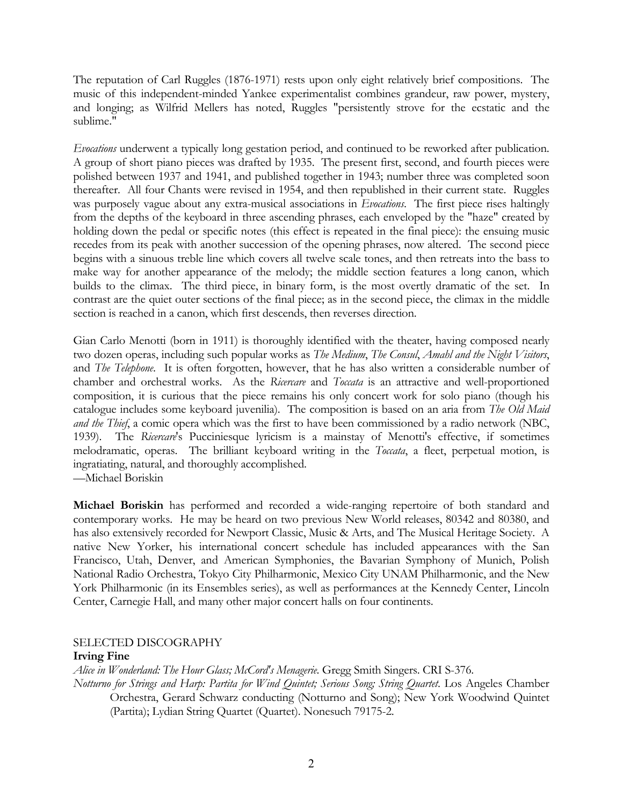The reputation of Carl Ruggles (1876-1971) rests upon only eight relatively brief compositions. The music of this independent-minded Yankee experimentalist combines grandeur, raw power, mystery, and longing; as Wilfrid Mellers has noted, Ruggles "persistently strove for the ecstatic and the sublime."

*Evocations* underwent a typically long gestation period, and continued to be reworked after publication. A group of short piano pieces was drafted by 1935. The present first, second, and fourth pieces were polished between 1937 and 1941, and published together in 1943; number three was completed soon thereafter. All four Chants were revised in 1954, and then republished in their current state. Ruggles was purposely vague about any extra-musical associations in *Evocations*. The first piece rises haltingly from the depths of the keyboard in three ascending phrases, each enveloped by the "haze" created by holding down the pedal or specific notes (this effect is repeated in the final piece): the ensuing music recedes from its peak with another succession of the opening phrases, now altered. The second piece begins with a sinuous treble line which covers all twelve scale tones, and then retreats into the bass to make way for another appearance of the melody; the middle section features a long canon, which builds to the climax. The third piece, in binary form, is the most overtly dramatic of the set. In contrast are the quiet outer sections of the final piece; as in the second piece, the climax in the middle section is reached in a canon, which first descends, then reverses direction.

Gian Carlo Menotti (born in 1911) is thoroughly identified with the theater, having composed nearly two dozen operas, including such popular works as *The Medium*, *The Consul*, *Amahl and the Night Visitors*, and *The Telephone*. It is often forgotten, however, that he has also written a considerable number of chamber and orchestral works. As the *Ricercare* and *Toccata* is an attractive and well-proportioned composition, it is curious that the piece remains his only concert work for solo piano (though his catalogue includes some keyboard juvenilia). The composition is based on an aria from *The Old Maid and the Thief*, a comic opera which was the first to have been commissioned by a radio network (NBC, 1939). The *Ricercare*'s Pucciniesque lyricism is a mainstay of Menotti's effective, if sometimes melodramatic, operas. The brilliant keyboard writing in the *Toccata*, a fleet, perpetual motion, is ingratiating, natural, and thoroughly accomplished.

—Michael Boriskin

**Michael Boriskin** has performed and recorded a wide-ranging repertoire of both standard and contemporary works. He may be heard on two previous New World releases, 80342 and 80380, and has also extensively recorded for Newport Classic, Music & Arts, and The Musical Heritage Society. A native New Yorker, his international concert schedule has included appearances with the San Francisco, Utah, Denver, and American Symphonies, the Bavarian Symphony of Munich, Polish National Radio Orchestra, Tokyo City Philharmonic, Mexico City UNAM Philharmonic, and the New York Philharmonic (in its Ensembles series), as well as performances at the Kennedy Center, Lincoln Center, Carnegie Hall, and many other major concert halls on four continents.

## SELECTED DISCOGRAPHY

#### **Irving Fine**

*Alice in Wonderland: The Hour Glass; McCord's Menagerie*. Gregg Smith Singers. CRI S-376.

*Notturno for Strings and Harp: Partita for Wind Quintet; Serious Song; String Quartet*. Los Angeles Chamber Orchestra, Gerard Schwarz conducting (Notturno and Song); New York Woodwind Quintet (Partita); Lydian String Quartet (Quartet). Nonesuch 79175-2.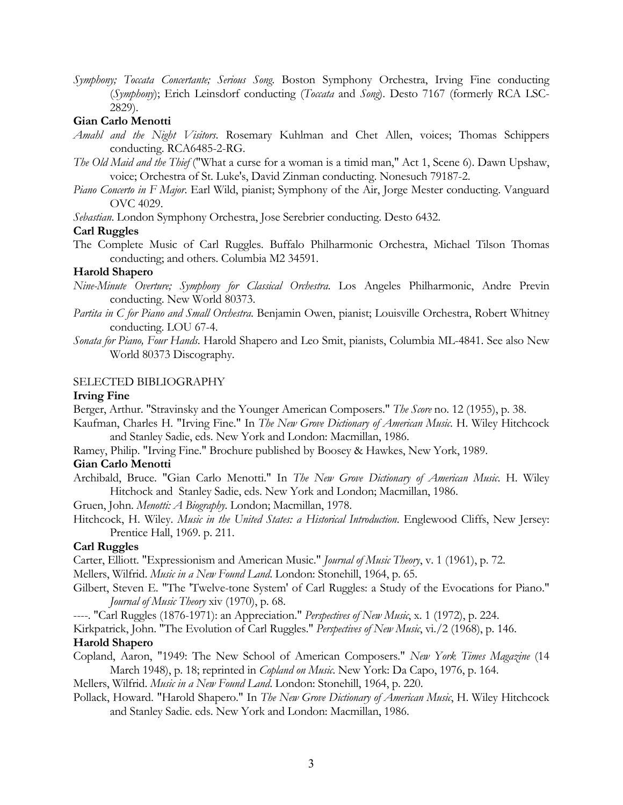*Symphony; Toccata Concertante; Serious Song*. Boston Symphony Orchestra, Irving Fine conducting (*Symphony*); Erich Leinsdorf conducting (*Toccata* and *Song*). Desto 7167 (formerly RCA LSC-2829).

## **Gian Carlo Menotti**

- *Amahl and the Night Visitors*. Rosemary Kuhlman and Chet Allen, voices; Thomas Schippers conducting. RCA6485-2-RG.
- *The Old Maid and the Thief* ("What a curse for a woman is a timid man," Act 1, Scene 6). Dawn Upshaw, voice; Orchestra of St. Luke's, David Zinman conducting. Nonesuch 79187-2.
- *Piano Concerto in F Major*. Earl Wild, pianist; Symphony of the Air, Jorge Mester conducting. Vanguard OVC 4029.

*Sebastian*. London Symphony Orchestra, Jose Serebrier conducting. Desto 6432.

## **Carl Ruggles**

The Complete Music of Carl Ruggles. Buffalo Philharmonic Orchestra, Michael Tilson Thomas conducting; and others. Columbia M2 34591.

## **Harold Shapero**

- *Nine-Minute Overture; Symphony for Classical Orchestra*. Los Angeles Philharmonic, Andre Previn conducting. New World 80373.
- *Partita in C for Piano and Small Orchestra*. Benjamin Owen, pianist; Louisville Orchestra, Robert Whitney conducting. LOU 67-4.
- *Sonata for Piano, Four Hands*. Harold Shapero and Leo Smit, pianists, Columbia ML-4841. See also New World 80373 Discography.

## SELECTED BIBLIOGRAPHY

#### **Irving Fine**

Berger, Arthur. "Stravinsky and the Younger American Composers." *The Score* no. 12 (1955), p. 38.

- Kaufman, Charles H. "Irving Fine." In *The New Grove Dictionary of American Music*. H. Wiley Hitchcock and Stanley Sadie, eds. New York and London: Macmillan, 1986.
- Ramey, Philip. "Irving Fine." Brochure published by Boosey & Hawkes, New York, 1989.

## **Gian Carlo Menotti**

Archibald, Bruce. "Gian Carlo Menotti." In *The New Grove Dictionary of American Music*. H. Wiley Hitchock and Stanley Sadie, eds. New York and London; Macmillan, 1986.

Gruen, John. *Menotti: A Biography*. London; Macmillan, 1978.

Hitchcock, H. Wiley. *Music in the United States: a Historical Introduction*. Englewood Cliffs, New Jersey: Prentice Hall, 1969. p. 211.

## **Carl Ruggles**

Carter, Elliott. "Expressionism and American Music." *Journal of Music Theory*, v. 1 (1961), p. 72.

Mellers, Wilfrid. *Music in a New Found Land*. London: Stonehill, 1964, p. 65.

Gilbert, Steven E. "The 'Twelve-tone System' of Carl Ruggles: a Study of the Evocations for Piano." *Journal of Music Theory* xiv (1970), p. 68.

----. "Carl Ruggles (1876-1971): an Appreciation." *Perspectives of New Music*, x. 1 (1972), p. 224.

Kirkpatrick, John. "The Evolution of Carl Ruggles." *Perspectives of New Music*, vi./2 (1968), p. 146. **Harold Shapero** 

Copland, Aaron, "1949: The New School of American Composers." *New York Times Magazine* (14 March 1948), p. 18; reprinted in *Copland on Music*. New York: Da Capo, 1976, p. 164.

Mellers, Wilfrid. *Music in a New Found Land*. London: Stonehill, 1964, p. 220.

Pollack, Howard. "Harold Shapero." In *The New Grove Dictionary of American Music*, H. Wiley Hitchcock and Stanley Sadie. eds. New York and London: Macmillan, 1986.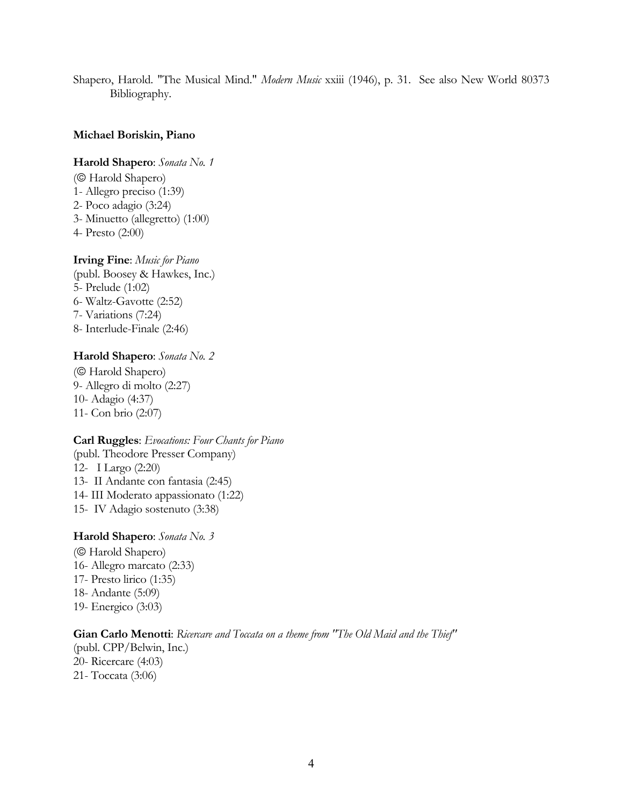Shapero, Harold. "The Musical Mind." *Modern Music* xxiii (1946), p. 31. See also New World 80373 Bibliography.

#### **Michael Boriskin, Piano**

**Harold Shapero**: *Sonata No. 1*

- (© Harold Shapero) 1- Allegro preciso (1:39) 2- Poco adagio (3:24) 3- Minuetto (allegretto) (1:00) 4- Presto (2:00)
- **Irving Fine**: *Music for Piano*
- (publ. Boosey & Hawkes, Inc.) 5- Prelude (1:02) 6- Waltz-Gavotte (2:52) 7- Variations (7:24) 8- Interlude-Finale (2:46)

#### **Harold Shapero**: *Sonata No. 2*

(© Harold Shapero) 9- Allegro di molto (2:27) 10- Adagio (4:37) 11- Con brio (2:07)

#### **Carl Ruggles**: *Evocations: Four Chants for Piano*

(publ. Theodore Presser Company) 12- I Largo (2:20) 13- II Andante con fantasia (2:45) 14- III Moderato appassionato (1:22) 15- IV Adagio sostenuto (3:38)

#### **Harold Shapero**: *Sonata No. 3*

(© Harold Shapero) 16- Allegro marcato (2:33) 17- Presto lirico (1:35) 18- Andante (5:09) 19- Energico (3:03)

## **Gian Carlo Menotti**: *Ricercare and Toccata on a theme from "The Old Maid and the Thief"*  (publ. CPP/Belwin, Inc.) 20- Ricercare (4:03) 21- Toccata (3:06)